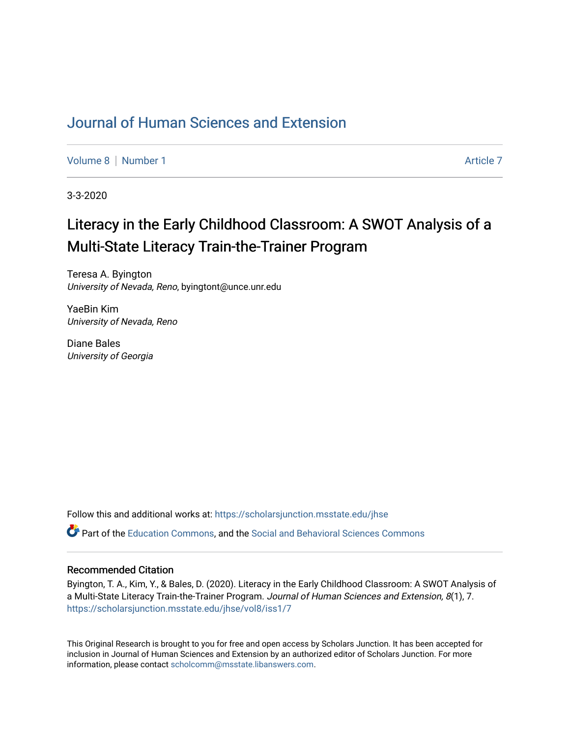# [Journal of Human Sciences and Extension](https://scholarsjunction.msstate.edu/jhse)

[Volume 8](https://scholarsjunction.msstate.edu/jhse/vol8) | [Number 1](https://scholarsjunction.msstate.edu/jhse/vol8/iss1) Article 7

3-3-2020

# Literacy in the Early Childhood Classroom: A SWOT Analysis of a Multi-State Literacy Train-the-Trainer Program

Teresa A. Byington University of Nevada, Reno, byingtont@unce.unr.edu

YaeBin Kim University of Nevada, Reno

Diane Bales University of Georgia

Follow this and additional works at: [https://scholarsjunction.msstate.edu/jhse](https://scholarsjunction.msstate.edu/jhse?utm_source=scholarsjunction.msstate.edu%2Fjhse%2Fvol8%2Fiss1%2F7&utm_medium=PDF&utm_campaign=PDFCoverPages)

Part of the [Education Commons](http://network.bepress.com/hgg/discipline/784?utm_source=scholarsjunction.msstate.edu%2Fjhse%2Fvol8%2Fiss1%2F7&utm_medium=PDF&utm_campaign=PDFCoverPages), and the [Social and Behavioral Sciences Commons](http://network.bepress.com/hgg/discipline/316?utm_source=scholarsjunction.msstate.edu%2Fjhse%2Fvol8%2Fiss1%2F7&utm_medium=PDF&utm_campaign=PDFCoverPages) 

#### Recommended Citation

Byington, T. A., Kim, Y., & Bales, D. (2020). Literacy in the Early Childhood Classroom: A SWOT Analysis of a Multi-State Literacy Train-the-Trainer Program. Journal of Human Sciences and Extension, 8(1), 7. [https://scholarsjunction.msstate.edu/jhse/vol8/iss1/7](https://scholarsjunction.msstate.edu/jhse/vol8/iss1/7?utm_source=scholarsjunction.msstate.edu%2Fjhse%2Fvol8%2Fiss1%2F7&utm_medium=PDF&utm_campaign=PDFCoverPages)

This Original Research is brought to you for free and open access by Scholars Junction. It has been accepted for inclusion in Journal of Human Sciences and Extension by an authorized editor of Scholars Junction. For more information, please contact [scholcomm@msstate.libanswers.com](mailto:scholcomm@msstate.libanswers.com).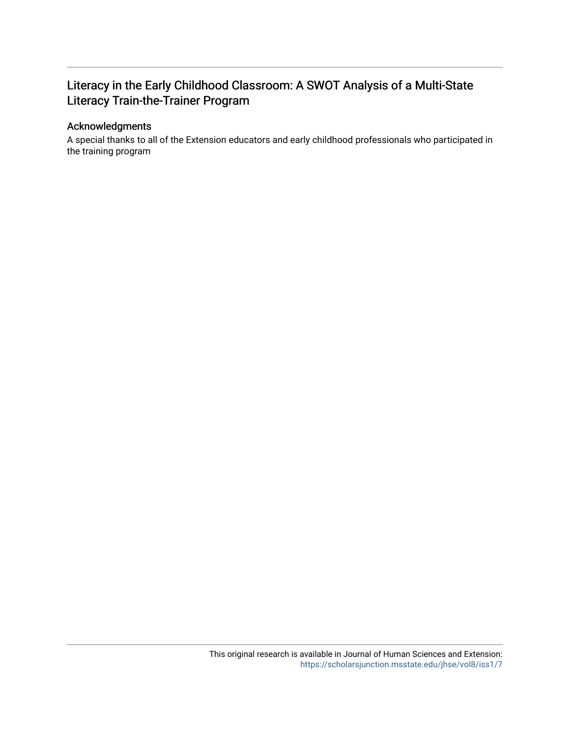## Literacy in the Early Childhood Classroom: A SWOT Analysis of a Multi-State Literacy Train-the-Trainer Program

#### Acknowledgments

A special thanks to all of the Extension educators and early childhood professionals who participated in the training program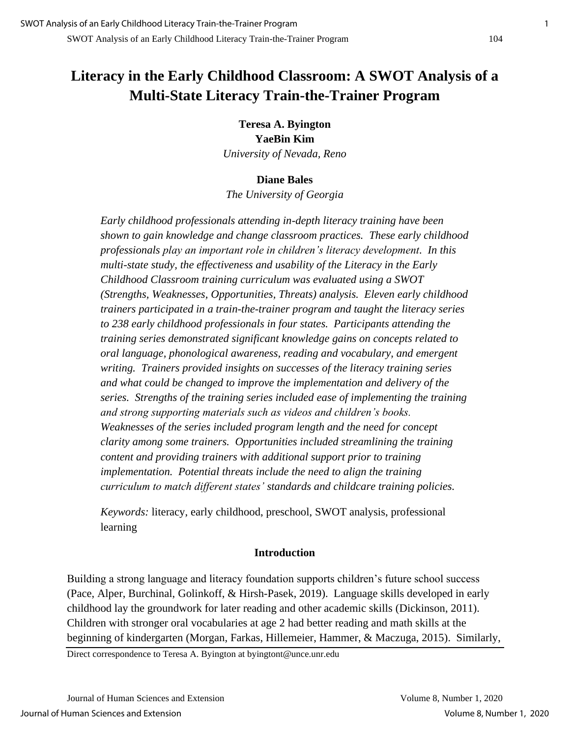# **Literacy in the Early Childhood Classroom: A SWOT Analysis of a Multi-State Literacy Train-the-Trainer Program**

**Teresa A. Byington YaeBin Kim** *University of Nevada, Reno*

#### **Diane Bales**

*The University of Georgia*

*Early childhood professionals attending in-depth literacy training have been shown to gain knowledge and change classroom practices. These early childhood professionals play an important role in children's literacy development. In this multi-state study, the effectiveness and usability of the Literacy in the Early Childhood Classroom training curriculum was evaluated using a SWOT (Strengths, Weaknesses, Opportunities, Threats) analysis. Eleven early childhood trainers participated in a train-the-trainer program and taught the literacy series to 238 early childhood professionals in four states. Participants attending the training series demonstrated significant knowledge gains on concepts related to oral language, phonological awareness, reading and vocabulary, and emergent writing. Trainers provided insights on successes of the literacy training series and what could be changed to improve the implementation and delivery of the series. Strengths of the training series included ease of implementing the training and strong supporting materials such as videos and children's books. Weaknesses of the series included program length and the need for concept clarity among some trainers. Opportunities included streamlining the training content and providing trainers with additional support prior to training implementation. Potential threats include the need to align the training curriculum to match different states' standards and childcare training policies.*

*Keywords:* literacy, early childhood, preschool, SWOT analysis, professional learning

## **Introduction**

Building a strong language and literacy foundation supports children's future school success (Pace, Alper, Burchinal, Golinkoff, & Hirsh-Pasek, 2019). Language skills developed in early childhood lay the groundwork for later reading and other academic skills (Dickinson, 2011). Children with stronger oral vocabularies at age 2 had better reading and math skills at the beginning of kindergarten (Morgan, Farkas, Hillemeier, Hammer, & Maczuga, 2015). Similarly,

Direct correspondence to Teresa A. Byington at byingtont@unce.unr.edu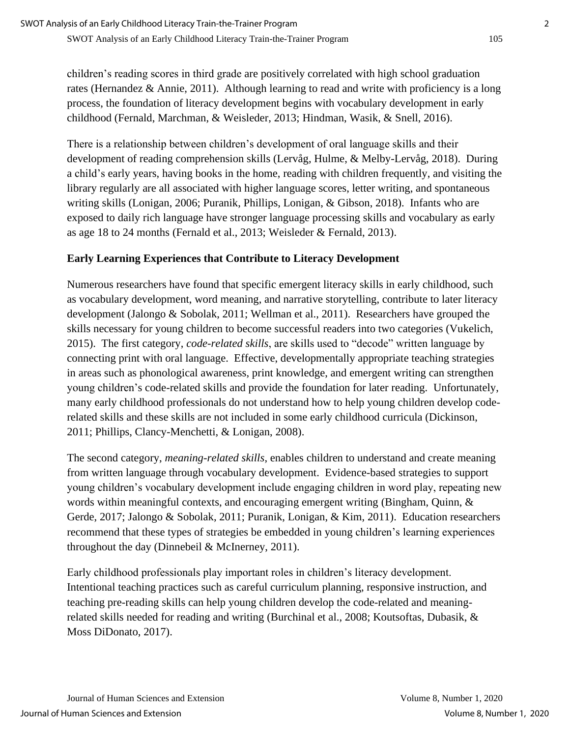children's reading scores in third grade are positively correlated with high school graduation rates (Hernandez & Annie, 2011). Although learning to read and write with proficiency is a long process, the foundation of literacy development begins with vocabulary development in early childhood (Fernald, Marchman, & Weisleder, 2013; Hindman, Wasik, & Snell, 2016).

There is a relationship between children's development of oral language skills and their development of reading comprehension skills (Lervåg, Hulme, & Melby-Lervåg, 2018). During a child's early years, having books in the home, reading with children frequently, and visiting the library regularly are all associated with higher language scores, letter writing, and spontaneous writing skills (Lonigan, 2006; Puranik, Phillips, Lonigan, & Gibson, 2018). Infants who are exposed to daily rich language have stronger language processing skills and vocabulary as early as age 18 to 24 months (Fernald et al., 2013; Weisleder & Fernald, 2013).

## **Early Learning Experiences that Contribute to Literacy Development**

Numerous researchers have found that specific emergent literacy skills in early childhood, such as vocabulary development, word meaning, and narrative storytelling, contribute to later literacy development (Jalongo & Sobolak, 2011; Wellman et al., 2011). Researchers have grouped the skills necessary for young children to become successful readers into two categories (Vukelich, 2015). The first category, *code-related skills*, are skills used to "decode" written language by connecting print with oral language. Effective, developmentally appropriate teaching strategies in areas such as phonological awareness, print knowledge, and emergent writing can strengthen young children's code-related skills and provide the foundation for later reading. Unfortunately, many early childhood professionals do not understand how to help young children develop coderelated skills and these skills are not included in some early childhood curricula (Dickinson, 2011; Phillips, Clancy-Menchetti, & Lonigan, 2008).

The second category, *meaning-related skills*, enables children to understand and create meaning from written language through vocabulary development. Evidence-based strategies to support young children's vocabulary development include engaging children in word play, repeating new words within meaningful contexts, and encouraging emergent writing (Bingham, Quinn, & Gerde, 2017; Jalongo & Sobolak, 2011; Puranik, Lonigan, & Kim, 2011). Education researchers recommend that these types of strategies be embedded in young children's learning experiences throughout the day (Dinnebeil & McInerney, 2011).

Early childhood professionals play important roles in children's literacy development. Intentional teaching practices such as careful curriculum planning, responsive instruction, and teaching pre-reading skills can help young children develop the code-related and meaningrelated skills needed for reading and writing (Burchinal et al., 2008; Koutsoftas, Dubasik, & Moss DiDonato, 2017).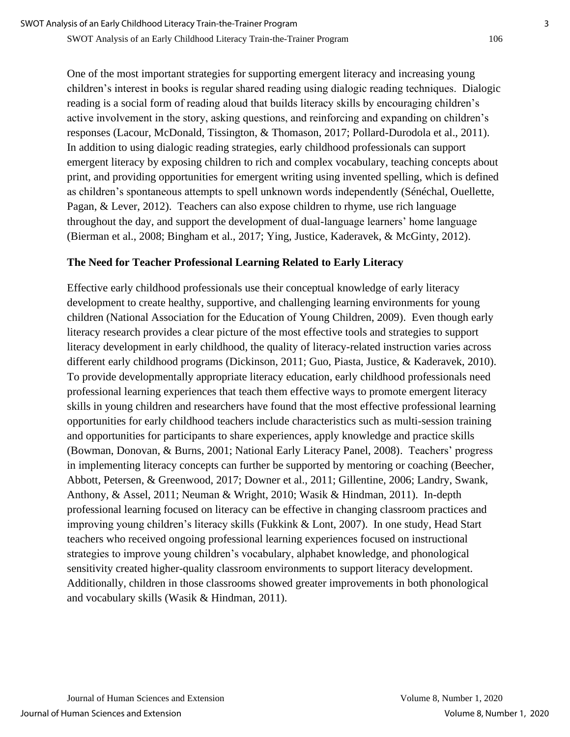One of the most important strategies for supporting emergent literacy and increasing young children's interest in books is regular shared reading using dialogic reading techniques. Dialogic reading is a social form of reading aloud that builds literacy skills by encouraging children's active involvement in the story, asking questions, and reinforcing and expanding on children's responses (Lacour, McDonald, Tissington, & Thomason, 2017; Pollard-Durodola et al., 2011). In addition to using dialogic reading strategies, early childhood professionals can support emergent literacy by exposing children to rich and complex vocabulary, teaching concepts about print, and providing opportunities for emergent writing using invented spelling, which is defined as children's spontaneous attempts to spell unknown words independently (Sénéchal, Ouellette, Pagan, & Lever, 2012). Teachers can also expose children to rhyme, use rich language throughout the day, and support the development of dual-language learners' home language (Bierman et al., 2008; Bingham et al., 2017; Ying, Justice, Kaderavek, & McGinty, 2012).

#### **The Need for Teacher Professional Learning Related to Early Literacy**

Effective early childhood professionals use their conceptual knowledge of early literacy development to create healthy, supportive, and challenging learning environments for young children (National Association for the Education of Young Children, 2009). Even though early literacy research provides a clear picture of the most effective tools and strategies to support literacy development in early childhood, the quality of literacy-related instruction varies across different early childhood programs (Dickinson, 2011; Guo, Piasta, Justice, & Kaderavek, 2010). To provide developmentally appropriate literacy education, early childhood professionals need professional learning experiences that teach them effective ways to promote emergent literacy skills in young children and researchers have found that the most effective professional learning opportunities for early childhood teachers include characteristics such as multi-session training and opportunities for participants to share experiences, apply knowledge and practice skills (Bowman, Donovan, & Burns, 2001; National Early Literacy Panel, 2008). Teachers' progress in implementing literacy concepts can further be supported by mentoring or coaching (Beecher, Abbott, Petersen, & Greenwood, 2017; Downer et al., 2011; Gillentine, 2006; Landry, Swank, Anthony, & Assel, 2011; Neuman & Wright, 2010; Wasik & Hindman, 2011). In-depth professional learning focused on literacy can be effective in changing classroom practices and improving young children's literacy skills (Fukkink & Lont, 2007). In one study, Head Start teachers who received ongoing professional learning experiences focused on instructional strategies to improve young children's vocabulary, alphabet knowledge, and phonological sensitivity created higher-quality classroom environments to support literacy development. Additionally, children in those classrooms showed greater improvements in both phonological and vocabulary skills (Wasik & Hindman, 2011).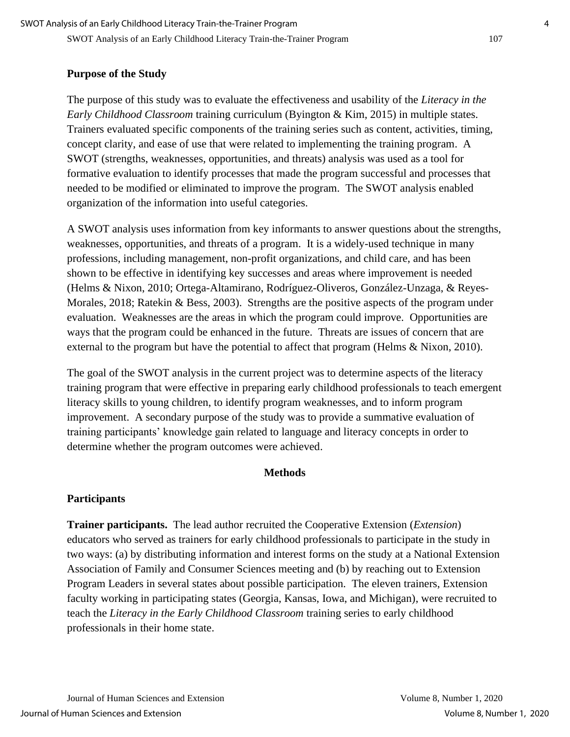#### **Purpose of the Study**

The purpose of this study was to evaluate the effectiveness and usability of the *Literacy in the Early Childhood Classroom* training curriculum (Byington & Kim, 2015) in multiple states. Trainers evaluated specific components of the training series such as content, activities, timing, concept clarity, and ease of use that were related to implementing the training program. A SWOT (strengths, weaknesses, opportunities, and threats) analysis was used as a tool for formative evaluation to identify processes that made the program successful and processes that needed to be modified or eliminated to improve the program. The SWOT analysis enabled organization of the information into useful categories.

A SWOT analysis uses information from key informants to answer questions about the strengths, weaknesses, opportunities, and threats of a program. It is a widely-used technique in many professions, including management, non-profit organizations, and child care, and has been shown to be effective in identifying key successes and areas where improvement is needed (Helms & Nixon, 2010; Ortega-Altamirano, Rodríguez-Oliveros, González-Unzaga, & Reyes-Morales, 2018; Ratekin & Bess, 2003). Strengths are the positive aspects of the program under evaluation. Weaknesses are the areas in which the program could improve. Opportunities are ways that the program could be enhanced in the future. Threats are issues of concern that are external to the program but have the potential to affect that program (Helms & Nixon, 2010).

The goal of the SWOT analysis in the current project was to determine aspects of the literacy training program that were effective in preparing early childhood professionals to teach emergent literacy skills to young children, to identify program weaknesses, and to inform program improvement. A secondary purpose of the study was to provide a summative evaluation of training participants' knowledge gain related to language and literacy concepts in order to determine whether the program outcomes were achieved.

#### **Methods**

#### **Participants**

**Trainer participants.** The lead author recruited the Cooperative Extension (*Extension*) educators who served as trainers for early childhood professionals to participate in the study in two ways: (a) by distributing information and interest forms on the study at a National Extension Association of Family and Consumer Sciences meeting and (b) by reaching out to Extension Program Leaders in several states about possible participation. The eleven trainers, Extension faculty working in participating states (Georgia, Kansas, Iowa, and Michigan), were recruited to teach the *Literacy in the Early Childhood Classroom* training series to early childhood professionals in their home state.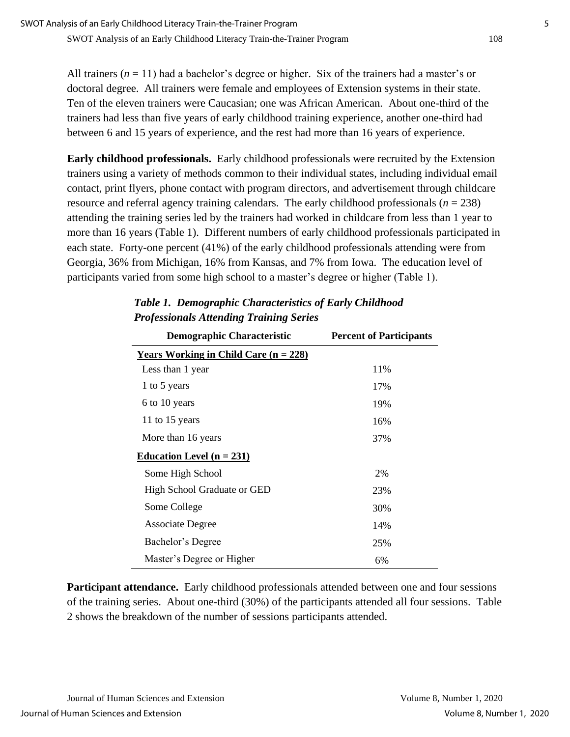All trainers  $(n = 11)$  had a bachelor's degree or higher. Six of the trainers had a master's or doctoral degree. All trainers were female and employees of Extension systems in their state. Ten of the eleven trainers were Caucasian; one was African American. About one-third of the trainers had less than five years of early childhood training experience, another one-third had between 6 and 15 years of experience, and the rest had more than 16 years of experience.

**Early childhood professionals.** Early childhood professionals were recruited by the Extension trainers using a variety of methods common to their individual states, including individual email contact, print flyers, phone contact with program directors, and advertisement through childcare resource and referral agency training calendars. The early childhood professionals (*n* = 238) attending the training series led by the trainers had worked in childcare from less than 1 year to more than 16 years (Table 1). Different numbers of early childhood professionals participated in each state. Forty-one percent (41%) of the early childhood professionals attending were from Georgia, 36% from Michigan, 16% from Kansas, and 7% from Iowa. The education level of participants varied from some high school to a master's degree or higher (Table 1).

| <b>Demographic Characteristic</b>            | <b>Percent of Participants</b> |
|----------------------------------------------|--------------------------------|
| <b>Years Working in Child Care (n = 228)</b> |                                |
| Less than 1 year                             | 11%                            |
| 1 to 5 years                                 | 17%                            |
| 6 to 10 years                                | 19%                            |
| 11 to 15 years                               | 16%                            |
| More than 16 years                           | 37%                            |
| <u>Education Level (n = 231)</u>             |                                |
| Some High School                             | 2%                             |
| <b>High School Graduate or GED</b>           | 23%                            |
| Some College                                 | 30%                            |
| <b>Associate Degree</b>                      | 14%                            |
| Bachelor's Degree                            | 25%                            |
| Master's Degree or Higher                    | 6%                             |

## *Table 1. Demographic Characteristics of Early Childhood Professionals Attending Training Series*

**Participant attendance.** Early childhood professionals attended between one and four sessions of the training series. About one-third (30%) of the participants attended all four sessions. Table 2 shows the breakdown of the number of sessions participants attended.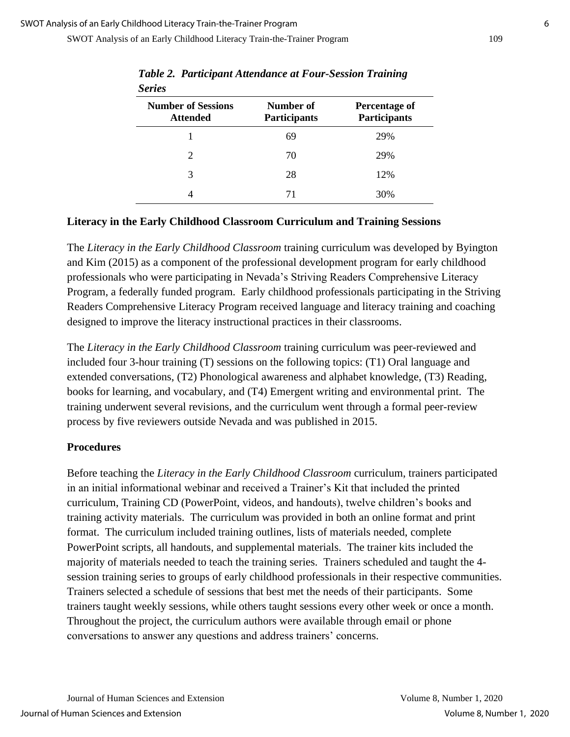SWOT Analysis of an Early Childhood Literacy Train-the-Trainer Program 109

| <b>Series</b>                                |                                  |                                             |
|----------------------------------------------|----------------------------------|---------------------------------------------|
| <b>Number of Sessions</b><br><b>Attended</b> | Number of<br><b>Participants</b> | <b>Percentage of</b><br><b>Participants</b> |
|                                              | 69                               | 29%                                         |
| 2                                            | 70                               | 29%                                         |
| 3                                            | 28                               | 12%                                         |
|                                              | 71                               | 30%                                         |

*Table 2. Participant Attendance at Four-Session Training* 

#### **Literacy in the Early Childhood Classroom Curriculum and Training Sessions**

The *Literacy in the Early Childhood Classroom* training curriculum was developed by Byington and Kim (2015) as a component of the professional development program for early childhood professionals who were participating in Nevada's Striving Readers Comprehensive Literacy Program, a federally funded program. Early childhood professionals participating in the Striving Readers Comprehensive Literacy Program received language and literacy training and coaching designed to improve the literacy instructional practices in their classrooms.

The *Literacy in the Early Childhood Classroom* training curriculum was peer-reviewed and included four 3-hour training (T) sessions on the following topics: (T1) Oral language and extended conversations, (T2) Phonological awareness and alphabet knowledge, (T3) Reading, books for learning, and vocabulary, and (T4) Emergent writing and environmental print. The training underwent several revisions, and the curriculum went through a formal peer-review process by five reviewers outside Nevada and was published in 2015.

#### **Procedures**

Before teaching the *Literacy in the Early Childhood Classroom* curriculum, trainers participated in an initial informational webinar and received a Trainer's Kit that included the printed curriculum, Training CD (PowerPoint, videos, and handouts), twelve children's books and training activity materials. The curriculum was provided in both an online format and print format. The curriculum included training outlines, lists of materials needed, complete PowerPoint scripts, all handouts, and supplemental materials. The trainer kits included the majority of materials needed to teach the training series. Trainers scheduled and taught the 4 session training series to groups of early childhood professionals in their respective communities. Trainers selected a schedule of sessions that best met the needs of their participants. Some trainers taught weekly sessions, while others taught sessions every other week or once a month. Throughout the project, the curriculum authors were available through email or phone conversations to answer any questions and address trainers' concerns.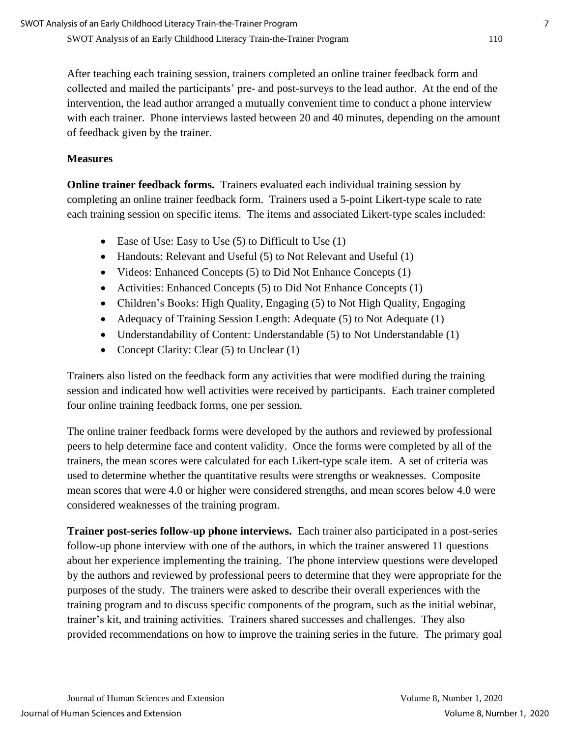After teaching each training session, trainers completed an online trainer feedback form and collected and mailed the participants' pre- and post-surveys to the lead author. At the end of the intervention, the lead author arranged a mutually convenient time to conduct a phone interview with each trainer. Phone interviews lasted between 20 and 40 minutes, depending on the amount of feedback given by the trainer.

### **Measures**

**Online trainer feedback forms.** Trainers evaluated each individual training session by completing an online trainer feedback form. Trainers used a 5-point Likert-type scale to rate each training session on specific items. The items and associated Likert-type scales included:

- Ease of Use: Easy to Use (5) to Difficult to Use (1)
- Handouts: Relevant and Useful (5) to Not Relevant and Useful (1)
- Videos: Enhanced Concepts (5) to Did Not Enhance Concepts (1)
- Activities: Enhanced Concepts (5) to Did Not Enhance Concepts (1)
- Children's Books: High Quality, Engaging (5) to Not High Quality, Engaging
- Adequacy of Training Session Length: Adequate (5) to Not Adequate (1)
- Understandability of Content: Understandable (5) to Not Understandable (1)
- Concept Clarity: Clear (5) to Unclear (1)

Trainers also listed on the feedback form any activities that were modified during the training session and indicated how well activities were received by participants. Each trainer completed four online training feedback forms, one per session.

The online trainer feedback forms were developed by the authors and reviewed by professional peers to help determine face and content validity. Once the forms were completed by all of the trainers, the mean scores were calculated for each Likert-type scale item. A set of criteria was used to determine whether the quantitative results were strengths or weaknesses. Composite mean scores that were 4.0 or higher were considered strengths, and mean scores below 4.0 were considered weaknesses of the training program.

**Trainer post-series follow-up phone interviews.** Each trainer also participated in a post-series follow-up phone interview with one of the authors, in which the trainer answered 11 questions about her experience implementing the training. The phone interview questions were developed by the authors and reviewed by professional peers to determine that they were appropriate for the purposes of the study. The trainers were asked to describe their overall experiences with the training program and to discuss specific components of the program, such as the initial webinar, trainer's kit, and training activities. Trainers shared successes and challenges. They also provided recommendations on how to improve the training series in the future. The primary goal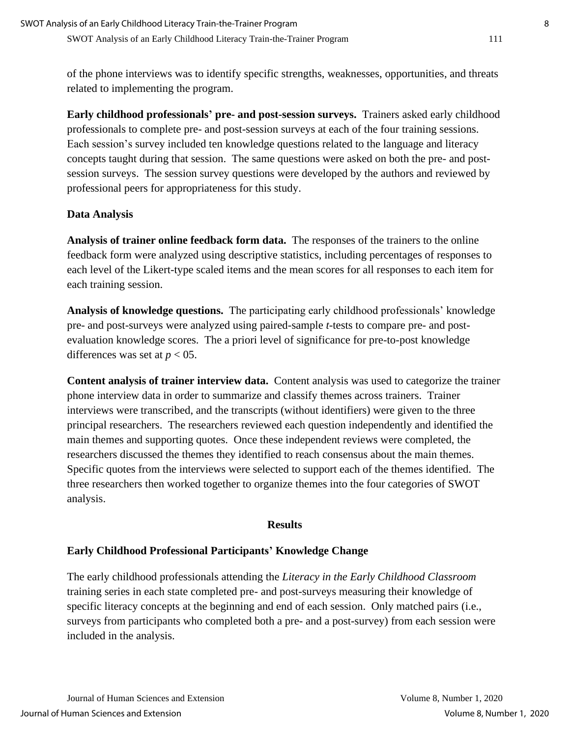of the phone interviews was to identify specific strengths, weaknesses, opportunities, and threats related to implementing the program.

**Early childhood professionals' pre- and post-session surveys.** Trainers asked early childhood professionals to complete pre- and post-session surveys at each of the four training sessions. Each session's survey included ten knowledge questions related to the language and literacy concepts taught during that session. The same questions were asked on both the pre- and postsession surveys. The session survey questions were developed by the authors and reviewed by professional peers for appropriateness for this study.

## **Data Analysis**

**Analysis of trainer online feedback form data.** The responses of the trainers to the online feedback form were analyzed using descriptive statistics, including percentages of responses to each level of the Likert-type scaled items and the mean scores for all responses to each item for each training session.

**Analysis of knowledge questions.** The participating early childhood professionals' knowledge pre- and post-surveys were analyzed using paired-sample *t*-tests to compare pre- and postevaluation knowledge scores. The a priori level of significance for pre-to-post knowledge differences was set at  $p < 05$ .

**Content analysis of trainer interview data.** Content analysis was used to categorize the trainer phone interview data in order to summarize and classify themes across trainers. Trainer interviews were transcribed, and the transcripts (without identifiers) were given to the three principal researchers. The researchers reviewed each question independently and identified the main themes and supporting quotes. Once these independent reviews were completed, the researchers discussed the themes they identified to reach consensus about the main themes. Specific quotes from the interviews were selected to support each of the themes identified. The three researchers then worked together to organize themes into the four categories of SWOT analysis.

#### **Results**

## **Early Childhood Professional Participants' Knowledge Change**

The early childhood professionals attending the *Literacy in the Early Childhood Classroom* training series in each state completed pre- and post-surveys measuring their knowledge of specific literacy concepts at the beginning and end of each session. Only matched pairs (i.e., surveys from participants who completed both a pre- and a post-survey) from each session were included in the analysis.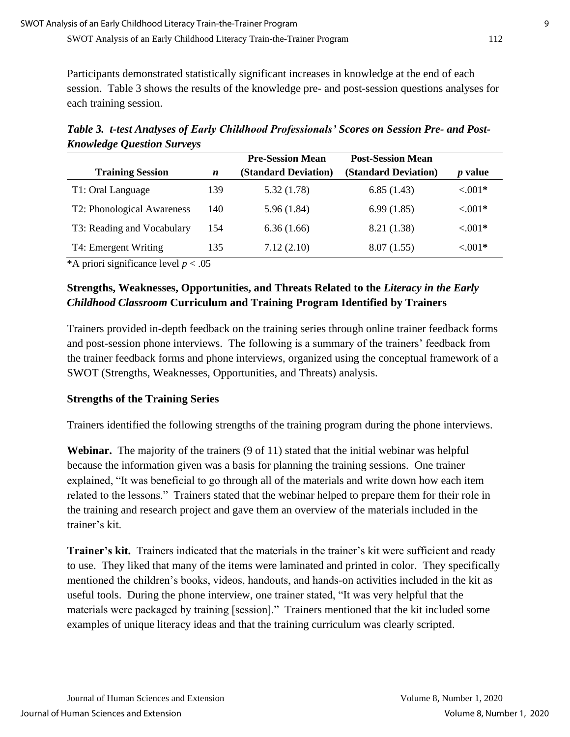Participants demonstrated statistically significant increases in knowledge at the end of each session. Table 3 shows the results of the knowledge pre- and post-session questions analyses for each training session.

*Table 3. t-test Analyses of Early Childhood Professionals' Scores on Session Pre- and Post-Knowledge Question Surveys*

|                            |                  | <b>Pre-Session Mean</b>     | <b>Post-Session Mean</b> |                |
|----------------------------|------------------|-----------------------------|--------------------------|----------------|
| <b>Training Session</b>    | $\boldsymbol{n}$ | <b>(Standard Deviation)</b> | (Standard Deviation)     | <i>p</i> value |
| T1: Oral Language          | 139              | 5.32(1.78)                  | 6.85(1.43)               | $< 0.01*$      |
| T2: Phonological Awareness | 140              | 5.96(1.84)                  | 6.99(1.85)               | $< 0.01*$      |
| T3: Reading and Vocabulary | 154              | 6.36(1.66)                  | 8.21 (1.38)              | $< 0.01*$      |
| T4: Emergent Writing       | 135              | 7.12(2.10)                  | 8.07(1.55)               | $< 0.01*$      |

\*A priori significance level *p* < .05

## **Strengths, Weaknesses, Opportunities, and Threats Related to the** *Literacy in the Early Childhood Classroom* **Curriculum and Training Program Identified by Trainers**

Trainers provided in-depth feedback on the training series through online trainer feedback forms and post-session phone interviews. The following is a summary of the trainers' feedback from the trainer feedback forms and phone interviews, organized using the conceptual framework of a SWOT (Strengths, Weaknesses, Opportunities, and Threats) analysis.

## **Strengths of the Training Series**

Trainers identified the following strengths of the training program during the phone interviews.

**Webinar.** The majority of the trainers (9 of 11) stated that the initial webinar was helpful because the information given was a basis for planning the training sessions. One trainer explained, "It was beneficial to go through all of the materials and write down how each item related to the lessons." Trainers stated that the webinar helped to prepare them for their role in the training and research project and gave them an overview of the materials included in the trainer's kit.

**Trainer's kit.** Trainers indicated that the materials in the trainer's kit were sufficient and ready to use. They liked that many of the items were laminated and printed in color. They specifically mentioned the children's books, videos, handouts, and hands-on activities included in the kit as useful tools. During the phone interview, one trainer stated, "It was very helpful that the materials were packaged by training [session]." Trainers mentioned that the kit included some examples of unique literacy ideas and that the training curriculum was clearly scripted.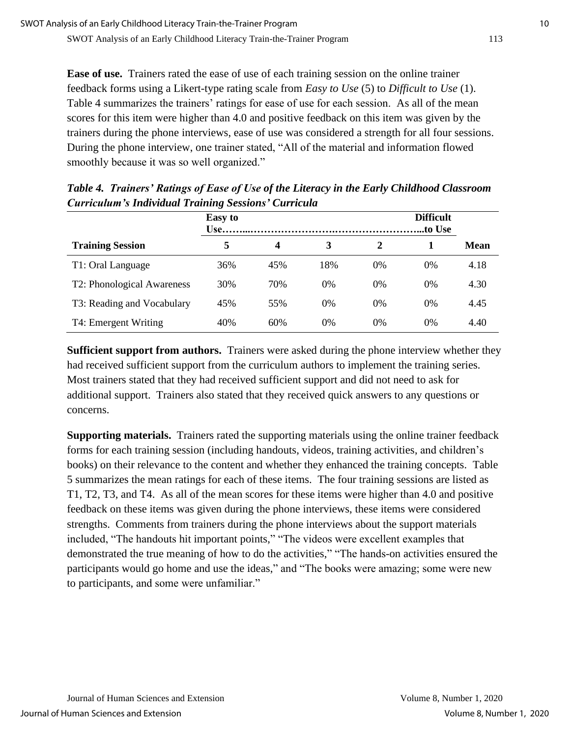**Ease of use.** Trainers rated the ease of use of each training session on the online trainer feedback forms using a Likert-type rating scale from *Easy to Use* (5) to *Difficult to Use* (1). Table 4 summarizes the trainers' ratings for ease of use for each session. As all of the mean scores for this item were higher than 4.0 and positive feedback on this item was given by the trainers during the phone interviews, ease of use was considered a strength for all four sessions. During the phone interview, one trainer stated, "All of the material and information flowed smoothly because it was so well organized."

|                            | ഄ<br><b>Easy</b> to |     |       |       | <b>Difficult</b><br>to Use. |             |
|----------------------------|---------------------|-----|-------|-------|-----------------------------|-------------|
| <b>Training Session</b>    | 5                   | 4   | 3     | 2     |                             | <b>Mean</b> |
| T1: Oral Language          | 36%                 | 45% | 18%   | $0\%$ | $0\%$                       | 4.18        |
| T2: Phonological Awareness | 30%                 | 70% | $0\%$ | $0\%$ | $0\%$                       | 4.30        |
| T3: Reading and Vocabulary | 45%                 | 55% | $0\%$ | $0\%$ | $0\%$                       | 4.45        |
| T4: Emergent Writing       | 40%                 | 60% | $0\%$ | 0%    | 0%                          | 4.40        |

*Table 4. Trainers' Ratings of Ease of Use of the Literacy in the Early Childhood Classroom Curriculum's Individual Training Sessions' Curricula*

**Sufficient support from authors.** Trainers were asked during the phone interview whether they had received sufficient support from the curriculum authors to implement the training series. Most trainers stated that they had received sufficient support and did not need to ask for additional support. Trainers also stated that they received quick answers to any questions or concerns.

**Supporting materials.** Trainers rated the supporting materials using the online trainer feedback forms for each training session (including handouts, videos, training activities, and children's books) on their relevance to the content and whether they enhanced the training concepts. Table 5 summarizes the mean ratings for each of these items. The four training sessions are listed as T1, T2, T3, and T4. As all of the mean scores for these items were higher than 4.0 and positive feedback on these items was given during the phone interviews, these items were considered strengths. Comments from trainers during the phone interviews about the support materials included, "The handouts hit important points," "The videos were excellent examples that demonstrated the true meaning of how to do the activities," "The hands-on activities ensured the participants would go home and use the ideas," and "The books were amazing; some were new to participants, and some were unfamiliar."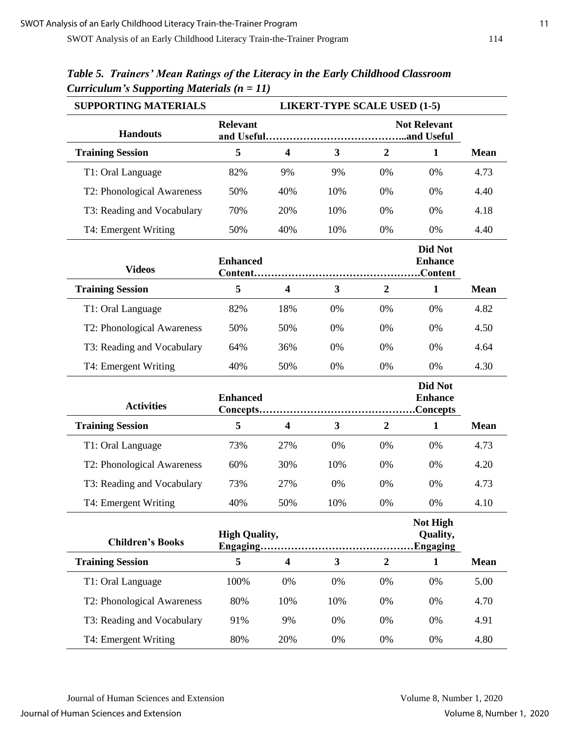| <b>SUPPORTING MATERIALS</b> | <b>LIKERT-TYPE SCALE USED (1-5)</b> |                         |              |                  |                                        |             |
|-----------------------------|-------------------------------------|-------------------------|--------------|------------------|----------------------------------------|-------------|
| <b>Handouts</b>             | <b>Relevant</b>                     |                         |              |                  | <b>Not Relevant</b>                    |             |
| <b>Training Session</b>     | 5                                   | $\overline{\mathbf{4}}$ | 3            | $\boldsymbol{2}$ | $\mathbf{1}$                           | <b>Mean</b> |
| T1: Oral Language           | 82%                                 | 9%                      | 9%           | 0%               | 0%                                     | 4.73        |
| T2: Phonological Awareness  | 50%                                 | 40%                     | 10%          | 0%               | 0%                                     | 4.40        |
| T3: Reading and Vocabulary  | 70%                                 | 20%                     | 10%          | 0%               | 0%                                     | 4.18        |
| T4: Emergent Writing        | 50%                                 | 40%                     | 10%          | 0%               | 0%                                     | 4.40        |
| <b>Videos</b>               | <b>Enhanced</b>                     |                         |              |                  | Did Not<br><b>Enhance</b>              |             |
| <b>Training Session</b>     | 5                                   | $\overline{\mathbf{4}}$ | 3            | $\overline{2}$   | $\mathbf{1}$                           | <b>Mean</b> |
| T1: Oral Language           | 82%                                 | 18%                     | 0%           | 0%               | 0%                                     | 4.82        |
| T2: Phonological Awareness  | 50%                                 | 50%                     | 0%           | 0%               | 0%                                     | 4.50        |
| T3: Reading and Vocabulary  | 64%                                 | 36%                     | 0%           | 0%               | 0%                                     | 4.64        |
| T4: Emergent Writing        | 40%                                 | 50%                     | 0%           | 0%               | 0%                                     | 4.30        |
| <b>Activities</b>           | <b>Enhanced</b>                     |                         |              |                  | Did Not<br><b>Enhance</b><br>Concepts. |             |
| <b>Training Session</b>     | 5                                   | $\overline{\mathbf{4}}$ | 3            | $\overline{2}$   | $\mathbf{1}$                           | <b>Mean</b> |
| T1: Oral Language           | 73%                                 | 27%                     | 0%           | 0%               | 0%                                     | 4.73        |
| T2: Phonological Awareness  | 60%                                 | 30%                     | 10%          | 0%               | 0%                                     | 4.20        |
| T3: Reading and Vocabulary  | 73%                                 | 27%                     | 0%           | 0%               | 0%                                     | 4.73        |
| T4: Emergent Writing        | 40%                                 | 50%                     | 10%          | 0%               | 0%                                     | 4.10        |
| <b>Children's Books</b>     | <b>High Quality,</b>                |                         |              |                  | Not High<br>Quality,<br>.Engaging      |             |
| <b>Training Session</b>     | 5                                   | $\overline{\mathbf{4}}$ | $\mathbf{3}$ | $\boldsymbol{2}$ | $\mathbf{1}$                           | <b>Mean</b> |
| T1: Oral Language           | 100%                                | 0%                      | 0%           | 0%               | 0%                                     | 5.00        |
| T2: Phonological Awareness  | 80%                                 | 10%                     | 10%          | 0%               | 0%                                     | 4.70        |
| T3: Reading and Vocabulary  | 91%                                 | 9%                      | 0%           | 0%               | 0%                                     | 4.91        |
| T4: Emergent Writing        | 80%                                 | 20%                     | 0%           | 0%               | 0%                                     | 4.80        |

## *Table 5. Trainers' Mean Ratings of the Literacy in the Early Childhood Classroom Curriculum's Supporting Materials (n = 11)*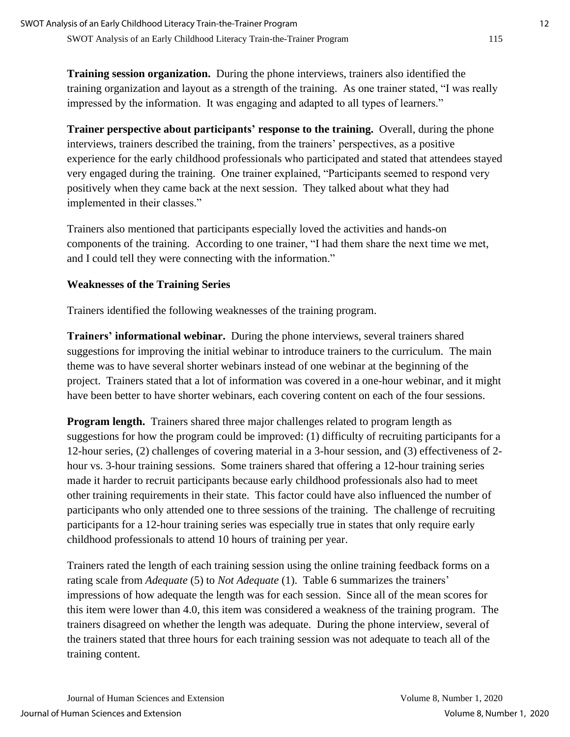**Training session organization.** During the phone interviews, trainers also identified the training organization and layout as a strength of the training. As one trainer stated, "I was really impressed by the information. It was engaging and adapted to all types of learners."

**Trainer perspective about participants' response to the training.** Overall, during the phone interviews, trainers described the training, from the trainers' perspectives, as a positive experience for the early childhood professionals who participated and stated that attendees stayed very engaged during the training. One trainer explained, "Participants seemed to respond very positively when they came back at the next session. They talked about what they had implemented in their classes."

Trainers also mentioned that participants especially loved the activities and hands-on components of the training. According to one trainer, "I had them share the next time we met, and I could tell they were connecting with the information."

#### **Weaknesses of the Training Series**

Trainers identified the following weaknesses of the training program.

**Trainers' informational webinar.** During the phone interviews, several trainers shared suggestions for improving the initial webinar to introduce trainers to the curriculum. The main theme was to have several shorter webinars instead of one webinar at the beginning of the project. Trainers stated that a lot of information was covered in a one-hour webinar, and it might have been better to have shorter webinars, each covering content on each of the four sessions.

**Program length.** Trainers shared three major challenges related to program length as suggestions for how the program could be improved: (1) difficulty of recruiting participants for a 12-hour series, (2) challenges of covering material in a 3-hour session, and (3) effectiveness of 2 hour vs. 3-hour training sessions. Some trainers shared that offering a 12-hour training series made it harder to recruit participants because early childhood professionals also had to meet other training requirements in their state. This factor could have also influenced the number of participants who only attended one to three sessions of the training. The challenge of recruiting participants for a 12-hour training series was especially true in states that only require early childhood professionals to attend 10 hours of training per year.

Trainers rated the length of each training session using the online training feedback forms on a rating scale from *Adequate* (5) to *Not Adequate* (1). Table 6 summarizes the trainers' impressions of how adequate the length was for each session. Since all of the mean scores for this item were lower than 4.0, this item was considered a weakness of the training program. The trainers disagreed on whether the length was adequate. During the phone interview, several of the trainers stated that three hours for each training session was not adequate to teach all of the training content.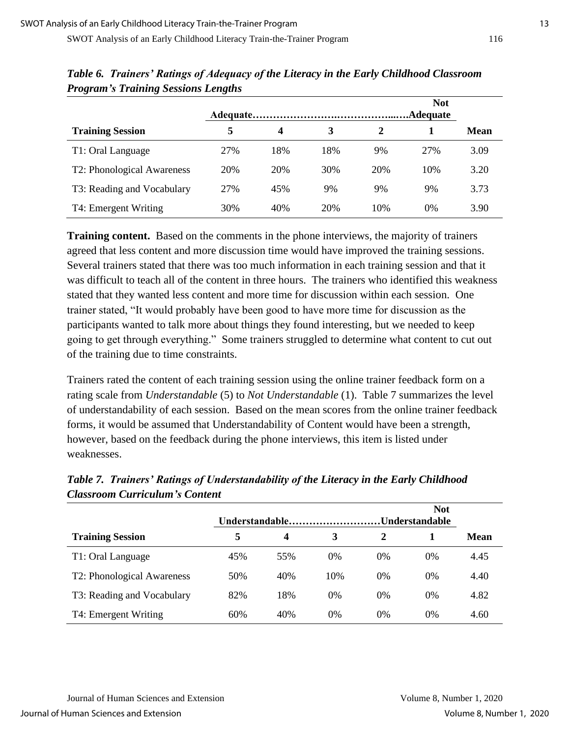|                            | Adequate |     |     |     | <b>Not</b><br>Adequate |             |  |
|----------------------------|----------|-----|-----|-----|------------------------|-------------|--|
| <b>Training Session</b>    | 5        | 4   | 3   | 2   |                        | <b>Mean</b> |  |
| T1: Oral Language          | 27%      | 18% | 18% | 9%  | 27%                    | 3.09        |  |
| T2: Phonological Awareness | 20%      | 20% | 30% | 20% | 10%                    | 3.20        |  |
| T3: Reading and Vocabulary | 27%      | 45% | 9%  | 9%  | 9%                     | 3.73        |  |
| T4: Emergent Writing       | 30%      | 40% | 20% | 10% | $0\%$                  | 3.90        |  |

*Table 6. Trainers' Ratings of Adequacy of the Literacy in the Early Childhood Classroom Program's Training Sessions Lengths*

**Training content.** Based on the comments in the phone interviews, the majority of trainers agreed that less content and more discussion time would have improved the training sessions. Several trainers stated that there was too much information in each training session and that it was difficult to teach all of the content in three hours. The trainers who identified this weakness stated that they wanted less content and more time for discussion within each session. One trainer stated, "It would probably have been good to have more time for discussion as the participants wanted to talk more about things they found interesting, but we needed to keep going to get through everything." Some trainers struggled to determine what content to cut out of the training due to time constraints.

Trainers rated the content of each training session using the online trainer feedback form on a rating scale from *Understandable* (5) to *Not Understandable* (1). Table 7 summarizes the level of understandability of each session. Based on the mean scores from the online trainer feedback forms, it would be assumed that Understandability of Content would have been a strength, however, based on the feedback during the phone interviews, this item is listed under weaknesses.

|                            | <b>Not</b><br>Understandable<br>Understandable |     |       |       |       |             |
|----------------------------|------------------------------------------------|-----|-------|-------|-------|-------------|
| <b>Training Session</b>    | 5                                              | 4   | 3     | 2     |       | <b>Mean</b> |
| T1: Oral Language          | 45%                                            | 55% | $0\%$ | $0\%$ | $0\%$ | 4.45        |
| T2: Phonological Awareness | 50%                                            | 40% | 10%   | $0\%$ | 0%    | 4.40        |
| T3: Reading and Vocabulary | 82%                                            | 18% | $0\%$ | $0\%$ | 0%    | 4.82        |
| T4: Emergent Writing       | 60%                                            | 40% | 0%    | $0\%$ | $0\%$ | 4.60        |

*Table 7. Trainers' Ratings of Understandability of the Literacy in the Early Childhood Classroom Curriculum's Content*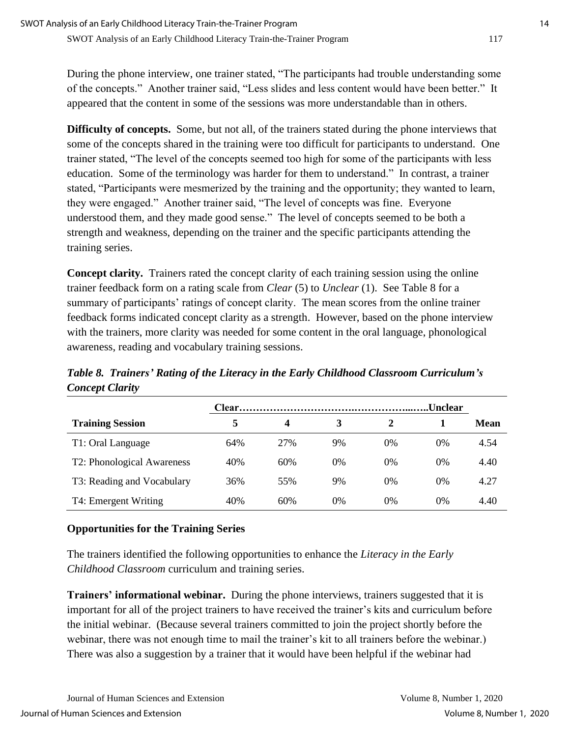During the phone interview, one trainer stated, "The participants had trouble understanding some of the concepts." Another trainer said, "Less slides and less content would have been better." It appeared that the content in some of the sessions was more understandable than in others.

**Difficulty of concepts.** Some, but not all, of the trainers stated during the phone interviews that some of the concepts shared in the training were too difficult for participants to understand. One trainer stated, "The level of the concepts seemed too high for some of the participants with less education. Some of the terminology was harder for them to understand." In contrast, a trainer stated, "Participants were mesmerized by the training and the opportunity; they wanted to learn, they were engaged." Another trainer said, "The level of concepts was fine. Everyone understood them, and they made good sense." The level of concepts seemed to be both a strength and weakness, depending on the trainer and the specific participants attending the training series.

**Concept clarity.** Trainers rated the concept clarity of each training session using the online trainer feedback form on a rating scale from *Clear* (5) to *Unclear* (1). See Table 8 for a summary of participants' ratings of concept clarity. The mean scores from the online trainer feedback forms indicated concept clarity as a strength. However, based on the phone interview with the trainers, more clarity was needed for some content in the oral language, phonological awareness, reading and vocabulary training sessions.

*Table 8. Trainers' Rating of the Literacy in the Early Childhood Classroom Curriculum's Concept Clarity*

|                            |     |     |       |       | Unclear |      |
|----------------------------|-----|-----|-------|-------|---------|------|
| <b>Training Session</b>    | 5   | 4   | 3     |       |         | Mean |
| T1: Oral Language          | 64% | 27% | 9%    | $0\%$ | 0%      | 4.54 |
| T2: Phonological Awareness | 40% | 60% | $0\%$ | $0\%$ | $0\%$   | 4.40 |
| T3: Reading and Vocabulary | 36% | 55% | 9%    | $0\%$ | $0\%$   | 4.27 |
| T4: Emergent Writing       | 40% | 60% | $0\%$ | 0%    | 0%      | 4.40 |

## **Opportunities for the Training Series**

The trainers identified the following opportunities to enhance the *Literacy in the Early Childhood Classroom* curriculum and training series.

**Trainers' informational webinar.** During the phone interviews, trainers suggested that it is important for all of the project trainers to have received the trainer's kits and curriculum before the initial webinar. (Because several trainers committed to join the project shortly before the webinar, there was not enough time to mail the trainer's kit to all trainers before the webinar.) There was also a suggestion by a trainer that it would have been helpful if the webinar had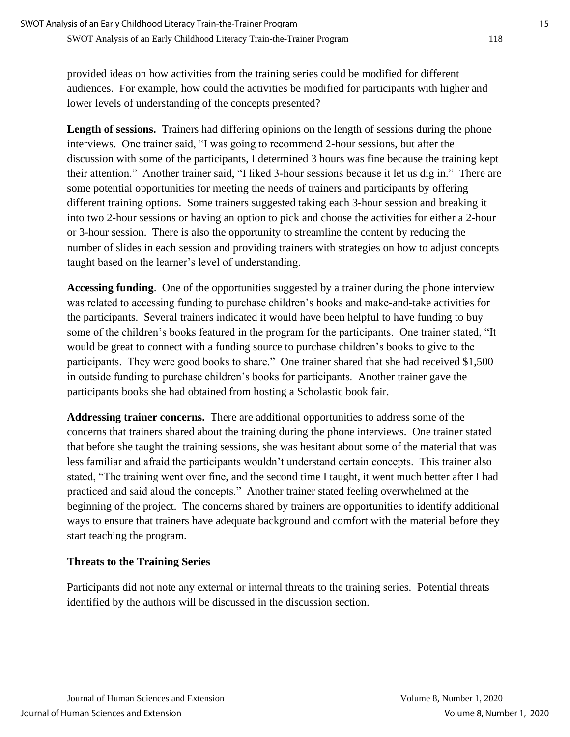provided ideas on how activities from the training series could be modified for different audiences. For example, how could the activities be modified for participants with higher and lower levels of understanding of the concepts presented?

**Length of sessions.** Trainers had differing opinions on the length of sessions during the phone interviews. One trainer said, "I was going to recommend 2-hour sessions, but after the discussion with some of the participants, I determined 3 hours was fine because the training kept their attention." Another trainer said, "I liked 3-hour sessions because it let us dig in." There are some potential opportunities for meeting the needs of trainers and participants by offering different training options. Some trainers suggested taking each 3-hour session and breaking it into two 2-hour sessions or having an option to pick and choose the activities for either a 2-hour or 3-hour session. There is also the opportunity to streamline the content by reducing the number of slides in each session and providing trainers with strategies on how to adjust concepts taught based on the learner's level of understanding.

**Accessing funding**. One of the opportunities suggested by a trainer during the phone interview was related to accessing funding to purchase children's books and make-and-take activities for the participants. Several trainers indicated it would have been helpful to have funding to buy some of the children's books featured in the program for the participants. One trainer stated, "It would be great to connect with a funding source to purchase children's books to give to the participants. They were good books to share." One trainer shared that she had received \$1,500 in outside funding to purchase children's books for participants. Another trainer gave the participants books she had obtained from hosting a Scholastic book fair.

**Addressing trainer concerns.** There are additional opportunities to address some of the concerns that trainers shared about the training during the phone interviews. One trainer stated that before she taught the training sessions, she was hesitant about some of the material that was less familiar and afraid the participants wouldn't understand certain concepts. This trainer also stated, "The training went over fine, and the second time I taught, it went much better after I had practiced and said aloud the concepts." Another trainer stated feeling overwhelmed at the beginning of the project. The concerns shared by trainers are opportunities to identify additional ways to ensure that trainers have adequate background and comfort with the material before they start teaching the program.

## **Threats to the Training Series**

Participants did not note any external or internal threats to the training series. Potential threats identified by the authors will be discussed in the discussion section.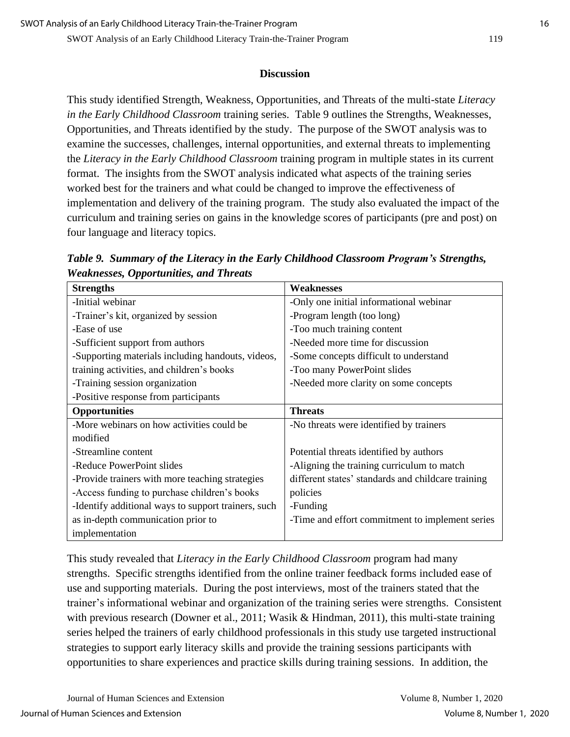#### **Discussion**

This study identified Strength, Weakness, Opportunities, and Threats of the multi-state *Literacy in the Early Childhood Classroom* training series. Table 9 outlines the Strengths, Weaknesses, Opportunities, and Threats identified by the study. The purpose of the SWOT analysis was to examine the successes, challenges, internal opportunities, and external threats to implementing the *Literacy in the Early Childhood Classroom* training program in multiple states in its current format. The insights from the SWOT analysis indicated what aspects of the training series worked best for the trainers and what could be changed to improve the effectiveness of implementation and delivery of the training program. The study also evaluated the impact of the curriculum and training series on gains in the knowledge scores of participants (pre and post) on four language and literacy topics.

*Table 9. Summary of the Literacy in the Early Childhood Classroom Program's Strengths, Weaknesses, Opportunities, and Threats*

| <b>Strengths</b>                                    | <b>Weaknesses</b>                                  |
|-----------------------------------------------------|----------------------------------------------------|
| -Initial webinar                                    | -Only one initial informational webinar            |
| -Trainer's kit, organized by session                | -Program length (too long)                         |
| -Ease of use                                        | -Too much training content                         |
| -Sufficient support from authors                    | -Needed more time for discussion                   |
| -Supporting materials including handouts, videos,   | -Some concepts difficult to understand             |
| training activities, and children's books           | -Too many PowerPoint slides                        |
| -Training session organization                      | -Needed more clarity on some concepts              |
| -Positive response from participants                |                                                    |
| <b>Opportunities</b>                                | <b>Threats</b>                                     |
| -More webinars on how activities could be           | -No threats were identified by trainers            |
| modified                                            |                                                    |
| -Streamline content                                 | Potential threats identified by authors            |
| -Reduce PowerPoint slides                           | -Aligning the training curriculum to match         |
| -Provide trainers with more teaching strategies     | different states' standards and childcare training |
| -Access funding to purchase children's books        | policies                                           |
| -Identify additional ways to support trainers, such | -Funding                                           |
| as in-depth communication prior to                  | -Time and effort commitment to implement series    |
| implementation                                      |                                                    |

This study revealed that *Literacy in the Early Childhood Classroom* program had many strengths. Specific strengths identified from the online trainer feedback forms included ease of use and supporting materials. During the post interviews, most of the trainers stated that the trainer's informational webinar and organization of the training series were strengths. Consistent with previous research (Downer et al., 2011; Wasik & Hindman, 2011), this multi-state training series helped the trainers of early childhood professionals in this study use targeted instructional strategies to support early literacy skills and provide the training sessions participants with opportunities to share experiences and practice skills during training sessions. In addition, the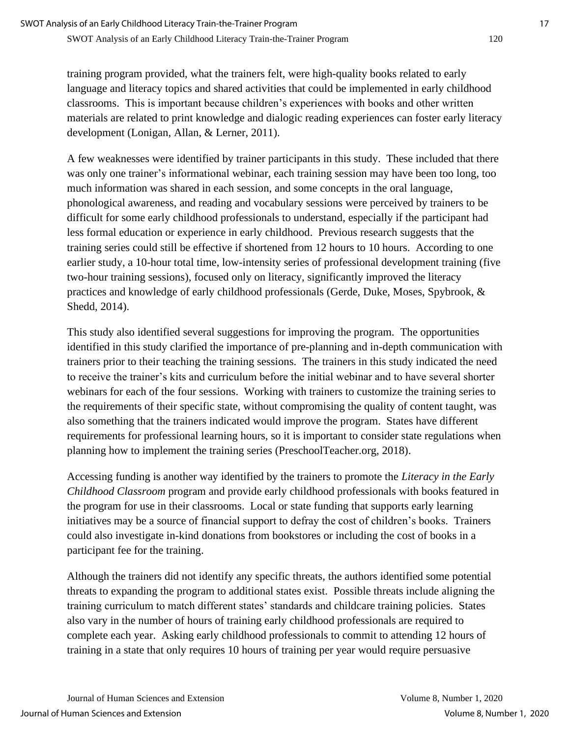training program provided, what the trainers felt, were high-quality books related to early language and literacy topics and shared activities that could be implemented in early childhood classrooms. This is important because children's experiences with books and other written materials are related to print knowledge and dialogic reading experiences can foster early literacy development (Lonigan, Allan, & Lerner, 2011).

A few weaknesses were identified by trainer participants in this study. These included that there was only one trainer's informational webinar, each training session may have been too long, too much information was shared in each session, and some concepts in the oral language, phonological awareness, and reading and vocabulary sessions were perceived by trainers to be difficult for some early childhood professionals to understand, especially if the participant had less formal education or experience in early childhood. Previous research suggests that the training series could still be effective if shortened from 12 hours to 10 hours. According to one earlier study, a 10-hour total time, low-intensity series of professional development training (five two-hour training sessions), focused only on literacy, significantly improved the literacy practices and knowledge of early childhood professionals (Gerde, Duke, Moses, Spybrook, & Shedd, 2014).

This study also identified several suggestions for improving the program. The opportunities identified in this study clarified the importance of pre-planning and in-depth communication with trainers prior to their teaching the training sessions. The trainers in this study indicated the need to receive the trainer's kits and curriculum before the initial webinar and to have several shorter webinars for each of the four sessions. Working with trainers to customize the training series to the requirements of their specific state, without compromising the quality of content taught, was also something that the trainers indicated would improve the program. States have different requirements for professional learning hours, so it is important to consider state regulations when planning how to implement the training series (PreschoolTeacher.org, 2018).

Accessing funding is another way identified by the trainers to promote the *Literacy in the Early Childhood Classroom* program and provide early childhood professionals with books featured in the program for use in their classrooms. Local or state funding that supports early learning initiatives may be a source of financial support to defray the cost of children's books. Trainers could also investigate in-kind donations from bookstores or including the cost of books in a participant fee for the training.

Although the trainers did not identify any specific threats, the authors identified some potential threats to expanding the program to additional states exist. Possible threats include aligning the training curriculum to match different states' standards and childcare training policies. States also vary in the number of hours of training early childhood professionals are required to complete each year. Asking early childhood professionals to commit to attending 12 hours of training in a state that only requires 10 hours of training per year would require persuasive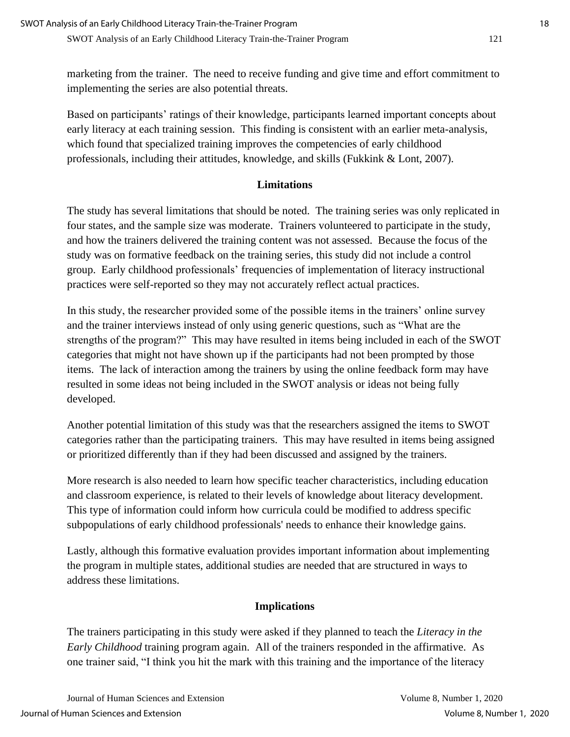marketing from the trainer. The need to receive funding and give time and effort commitment to implementing the series are also potential threats.

Based on participants' ratings of their knowledge, participants learned important concepts about early literacy at each training session. This finding is consistent with an earlier meta-analysis, which found that specialized training improves the competencies of early childhood professionals, including their attitudes, knowledge, and skills (Fukkink & Lont, 2007).

## **Limitations**

The study has several limitations that should be noted. The training series was only replicated in four states, and the sample size was moderate. Trainers volunteered to participate in the study, and how the trainers delivered the training content was not assessed. Because the focus of the study was on formative feedback on the training series, this study did not include a control group. Early childhood professionals' frequencies of implementation of literacy instructional practices were self-reported so they may not accurately reflect actual practices.

In this study, the researcher provided some of the possible items in the trainers' online survey and the trainer interviews instead of only using generic questions, such as "What are the strengths of the program?" This may have resulted in items being included in each of the SWOT categories that might not have shown up if the participants had not been prompted by those items. The lack of interaction among the trainers by using the online feedback form may have resulted in some ideas not being included in the SWOT analysis or ideas not being fully developed.

Another potential limitation of this study was that the researchers assigned the items to SWOT categories rather than the participating trainers. This may have resulted in items being assigned or prioritized differently than if they had been discussed and assigned by the trainers.

More research is also needed to learn how specific teacher characteristics, including education and classroom experience, is related to their levels of knowledge about literacy development. This type of information could inform how curricula could be modified to address specific subpopulations of early childhood professionals' needs to enhance their knowledge gains.

Lastly, although this formative evaluation provides important information about implementing the program in multiple states, additional studies are needed that are structured in ways to address these limitations.

## **Implications**

The trainers participating in this study were asked if they planned to teach the *Literacy in the Early Childhood* training program again. All of the trainers responded in the affirmative. As one trainer said, "I think you hit the mark with this training and the importance of the literacy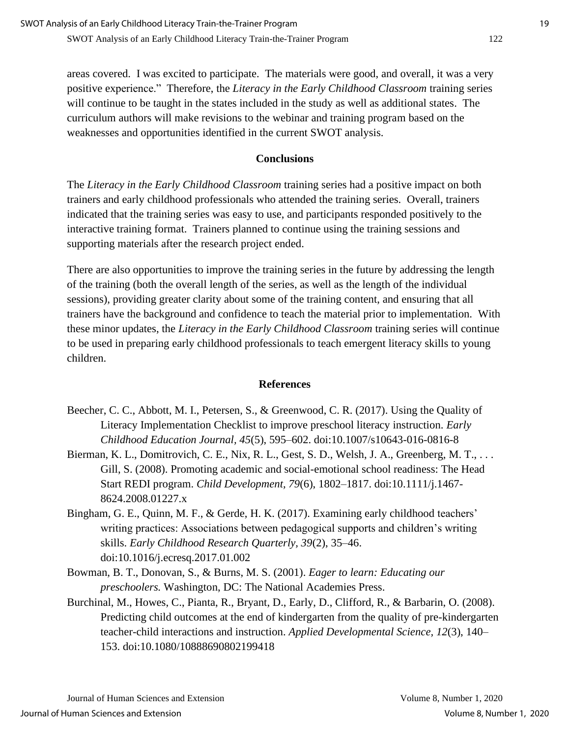areas covered. I was excited to participate. The materials were good, and overall, it was a very positive experience." Therefore, the *Literacy in the Early Childhood Classroom* training series will continue to be taught in the states included in the study as well as additional states. The curriculum authors will make revisions to the webinar and training program based on the weaknesses and opportunities identified in the current SWOT analysis.

#### **Conclusions**

The *Literacy in the Early Childhood Classroom* training series had a positive impact on both trainers and early childhood professionals who attended the training series. Overall, trainers indicated that the training series was easy to use, and participants responded positively to the interactive training format. Trainers planned to continue using the training sessions and supporting materials after the research project ended.

There are also opportunities to improve the training series in the future by addressing the length of the training (both the overall length of the series, as well as the length of the individual sessions), providing greater clarity about some of the training content, and ensuring that all trainers have the background and confidence to teach the material prior to implementation. With these minor updates, the *Literacy in the Early Childhood Classroom* training series will continue to be used in preparing early childhood professionals to teach emergent literacy skills to young children.

#### **References**

- Beecher, C. C., Abbott, M. I., Petersen, S., & Greenwood, C. R. (2017). Using the Quality of Literacy Implementation Checklist to improve preschool literacy instruction. *Early Childhood Education Journal, 45*(5), 595–602. doi:10.1007/s10643-016-0816-8
- Bierman, K. L., Domitrovich, C. E., Nix, R. L., Gest, S. D., Welsh, J. A., Greenberg, M. T., ... Gill, S. (2008). Promoting academic and social-emotional school readiness: The Head Start REDI program. *Child Development, 79*(6), 1802–1817. doi:10.1111/j.1467- 8624.2008.01227.x
- Bingham, G. E., Quinn, M. F., & Gerde, H. K. (2017). Examining early childhood teachers' writing practices: Associations between pedagogical supports and children's writing skills. *Early Childhood Research Quarterly, 39*(2), 35–46. doi:10.1016/j.ecresq.2017.01.002
- Bowman, B. T., Donovan, S., & Burns, M. S. (2001). *Eager to learn: Educating our preschoolers.* Washington, DC: The National Academies Press.
- Burchinal, M., Howes, C., Pianta, R., Bryant, D., Early, D., Clifford, R., & Barbarin, O. (2008). Predicting child outcomes at the end of kindergarten from the quality of pre-kindergarten teacher-child interactions and instruction. *Applied Developmental Science, 12*(3), 140– 153. doi:10.1080/10888690802199418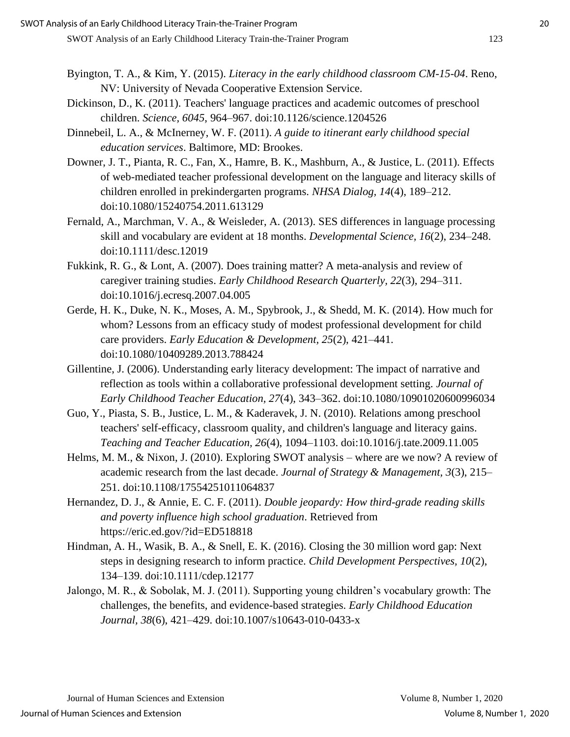- Byington, T. A., & Kim, Y. (2015). *Literacy in the early childhood classroom CM-15-04*. Reno, NV: University of Nevada Cooperative Extension Service.
- Dickinson, D., K. (2011). Teachers' language practices and academic outcomes of preschool children. *Science, 6045*, 964–967. doi:10.1126/science.1204526
- Dinnebeil, L. A., & McInerney, W. F. (2011). *A guide to itinerant early childhood special education services*. Baltimore, MD: Brookes.
- Downer, J. T., Pianta, R. C., Fan, X., Hamre, B. K., Mashburn, A., & Justice, L. (2011). Effects of web-mediated teacher professional development on the language and literacy skills of children enrolled in prekindergarten programs. *NHSA Dialog, 14*(4), 189–212. doi:10.1080/15240754.2011.613129
- Fernald, A., Marchman, V. A., & Weisleder, A. (2013). SES differences in language processing skill and vocabulary are evident at 18 months. *Developmental Science, 16*(2), 234–248. doi:10.1111/desc.12019
- Fukkink, R. G., & Lont, A. (2007). Does training matter? A meta-analysis and review of caregiver training studies. *Early Childhood Research Quarterly, 22*(3), 294–311. doi:10.1016/j.ecresq.2007.04.005
- Gerde, H. K., Duke, N. K., Moses, A. M., Spybrook, J., & Shedd, M. K. (2014). How much for whom? Lessons from an efficacy study of modest professional development for child care providers. *Early Education & Development, 25*(2), 421–441. doi:10.1080/10409289.2013.788424
- Gillentine, J. (2006). Understanding early literacy development: The impact of narrative and reflection as tools within a collaborative professional development setting. *Journal of Early Childhood Teacher Education, 27*(4), 343–362. doi:10.1080/10901020600996034
- Guo, Y., Piasta, S. B., Justice, L. M., & Kaderavek, J. N. (2010). Relations among preschool teachers' self-efficacy, classroom quality, and children's language and literacy gains. *Teaching and Teacher Education, 26*(4), 1094–1103. doi:10.1016/j.tate.2009.11.005
- Helms, M. M., & Nixon, J. (2010). Exploring SWOT analysis where are we now? A review of academic research from the last decade. *Journal of Strategy & Management, 3*(3), 215– 251. doi:10.1108/17554251011064837
- Hernandez, D. J., & Annie, E. C. F. (2011). *Double jeopardy: How third-grade reading skills and poverty influence high school graduation*. Retrieved from https://eric.ed.gov/?id=ED518818
- Hindman, A. H., Wasik, B. A., & Snell, E. K. (2016). Closing the 30 million word gap: Next steps in designing research to inform practice. *Child Development Perspectives, 10*(2), 134–139. doi:10.1111/cdep.12177
- Jalongo, M. R., & Sobolak, M. J. (2011). Supporting young children's vocabulary growth: The challenges, the benefits, and evidence-based strategies. *Early Childhood Education Journal, 38*(6), 421–429. doi:10.1007/s10643-010-0433-x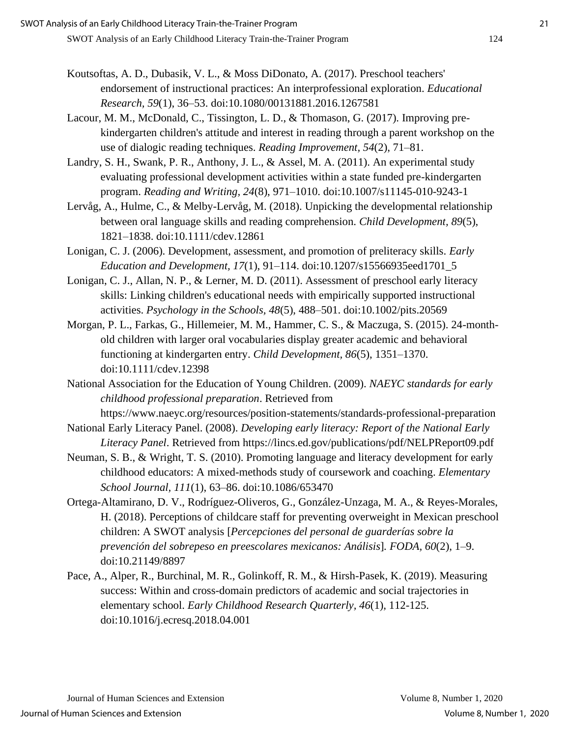- Koutsoftas, A. D., Dubasik, V. L., & Moss DiDonato, A. (2017). Preschool teachers' endorsement of instructional practices: An interprofessional exploration. *Educational Research, 59*(1), 36–53. doi:10.1080/00131881.2016.1267581
- Lacour, M. M., McDonald, C., Tissington, L. D., & Thomason, G. (2017). Improving prekindergarten children's attitude and interest in reading through a parent workshop on the use of dialogic reading techniques. *Reading Improvement, 54*(2), 71–81.
- Landry, S. H., Swank, P. R., Anthony, J. L., & Assel, M. A. (2011). An experimental study evaluating professional development activities within a state funded pre-kindergarten program. *Reading and Writing, 24*(8), 971–1010. doi:10.1007/s11145-010-9243-1
- Lervåg, A., Hulme, C., & Melby-Lervåg, M. (2018). Unpicking the developmental relationship between oral language skills and reading comprehension. *Child Development, 89*(5), 1821–1838. doi:10.1111/cdev.12861
- Lonigan, C. J. (2006). Development, assessment, and promotion of preliteracy skills. *Early Education and Development, 17*(1), 91–114. doi:10.1207/s15566935eed1701\_5
- Lonigan, C. J., Allan, N. P., & Lerner, M. D. (2011). Assessment of preschool early literacy skills: Linking children's educational needs with empirically supported instructional activities. *Psychology in the Schools, 48*(5), 488–501. doi:10.1002/pits.20569
- Morgan, P. L., Farkas, G., Hillemeier, M. M., Hammer, C. S., & Maczuga, S. (2015). 24-monthold children with larger oral vocabularies display greater academic and behavioral functioning at kindergarten entry. *Child Development, 86*(5), 1351–1370. doi:10.1111/cdev.12398
- National Association for the Education of Young Children. (2009). *NAEYC standards for early childhood professional preparation*. Retrieved from

https://www.naeyc.org/resources/position-statements/standards-professional-preparation National Early Literacy Panel. (2008). *Developing early literacy: Report of the National Early* 

*Literacy Panel*. Retrieved from https://lincs.ed.gov/publications/pdf/NELPReport09.pdf

- Neuman, S. B., & Wright, T. S. (2010). Promoting language and literacy development for early childhood educators: A mixed-methods study of coursework and coaching. *Elementary School Journal, 111*(1), 63–86. doi:10.1086/653470
- Ortega-Altamirano, D. V., Rodríguez-Oliveros, G., González-Unzaga, M. A., & Reyes-Morales, H. (2018). Perceptions of childcare staff for preventing overweight in Mexican preschool children: A SWOT analysis [*Percepciones del personal de guarderías sobre la prevención del sobrepeso en preescolares mexicanos: Análisis*]*. FODA, 60*(2), 1–9. doi:10.21149/8897
- Pace, A., Alper, R., Burchinal, M. R., Golinkoff, R. M., & Hirsh-Pasek, K. (2019). Measuring success: Within and cross-domain predictors of academic and social trajectories in elementary school. *Early Childhood Research Quarterly, 46*(1), 112-125. doi:10.1016/j.ecresq.2018.04.001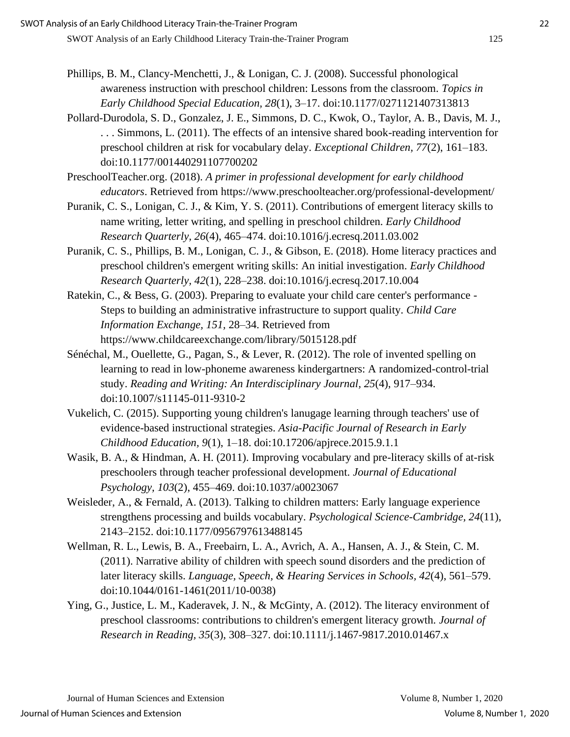Pollard-Durodola, S. D., Gonzalez, J. E., Simmons, D. C., Kwok, O., Taylor, A. B., Davis, M. J., . . . Simmons, L. (2011). The effects of an intensive shared book-reading intervention for preschool children at risk for vocabulary delay. *Exceptional Children, 77*(2), 161–183. doi:10.1177/001440291107700202

PreschoolTeacher.org. (2018). *A primer in professional development for early childhood educators*. Retrieved from https://www.preschoolteacher.org/professional-development/

- Puranik, C. S., Lonigan, C. J., & Kim, Y. S. (2011). Contributions of emergent literacy skills to name writing, letter writing, and spelling in preschool children. *Early Childhood Research Quarterly, 26*(4), 465–474. doi:10.1016/j.ecresq.2011.03.002
- Puranik, C. S., Phillips, B. M., Lonigan, C. J., & Gibson, E. (2018). Home literacy practices and preschool children's emergent writing skills: An initial investigation. *Early Childhood Research Quarterly, 42*(1), 228–238. doi:10.1016/j.ecresq.2017.10.004
- Ratekin, C., & Bess, G. (2003). Preparing to evaluate your child care center's performance Steps to building an administrative infrastructure to support quality. *Child Care Information Exchange, 151,* 28–34. Retrieved from https://www.childcareexchange.com/library/5015128.pdf
- Sénéchal, M., Ouellette, G., Pagan, S., & Lever, R. (2012). The role of invented spelling on learning to read in low-phoneme awareness kindergartners: A randomized-control-trial study. *Reading and Writing: An Interdisciplinary Journal, 25*(4), 917–934. doi:10.1007/s11145-011-9310-2
- Vukelich, C. (2015). Supporting young children's lanugage learning through teachers' use of evidence-based instructional strategies. *Asia-Pacific Journal of Research in Early Childhood Education, 9*(1), 1–18. doi:10.17206/apjrece.2015.9.1.1
- Wasik, B. A., & Hindman, A. H. (2011). Improving vocabulary and pre-literacy skills of at-risk preschoolers through teacher professional development. *Journal of Educational Psychology, 103*(2), 455–469. doi:10.1037/a0023067
- Weisleder, A., & Fernald, A. (2013). Talking to children matters: Early language experience strengthens processing and builds vocabulary. *Psychological Science-Cambridge, 24*(11), 2143–2152. doi:10.1177/0956797613488145
- Wellman, R. L., Lewis, B. A., Freebairn, L. A., Avrich, A. A., Hansen, A. J., & Stein, C. M. (2011). Narrative ability of children with speech sound disorders and the prediction of later literacy skills. *Language, Speech, & Hearing Services in Schools, 42*(4), 561–579. doi:10.1044/0161-1461(2011/10-0038)
- Ying, G., Justice, L. M., Kaderavek, J. N., & McGinty, A. (2012). The literacy environment of preschool classrooms: contributions to children's emergent literacy growth. *Journal of Research in Reading, 35*(3), 308–327. doi:10.1111/j.1467-9817.2010.01467.x